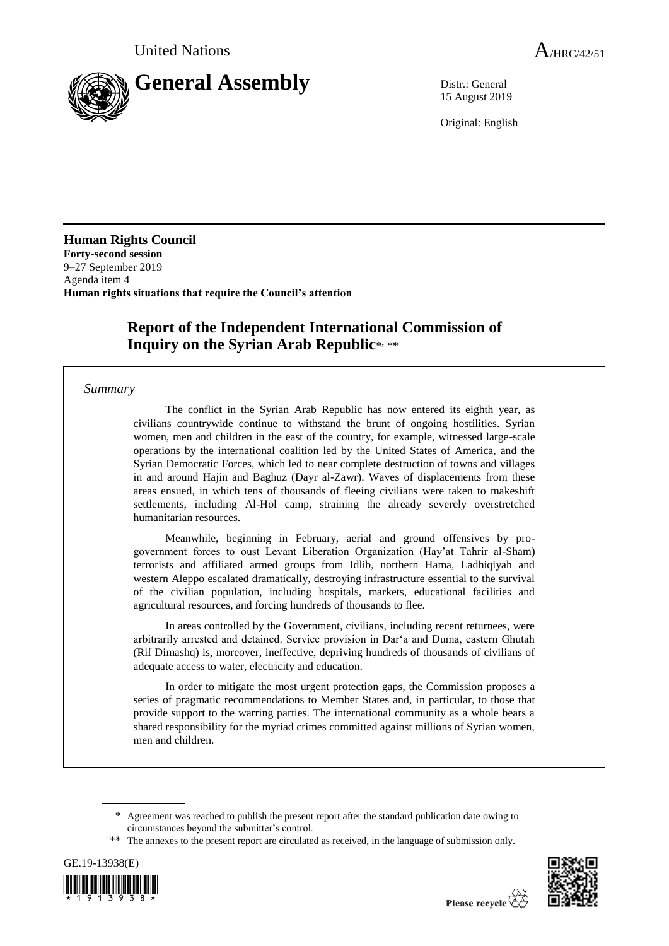

15 August 2019

Original: English

**Human Rights Council Forty-second session** 9–27 September 2019 Agenda item 4 **Human rights situations that require the Council's attention**

# **Report of the Independent International Commission of**  Inquiry on the Syrian Arab Republic\*, \*\*

## *Summary*

The conflict in the Syrian Arab Republic has now entered its eighth year, as civilians countrywide continue to withstand the brunt of ongoing hostilities. Syrian women, men and children in the east of the country, for example, witnessed large-scale operations by the international coalition led by the United States of America, and the Syrian Democratic Forces, which led to near complete destruction of towns and villages in and around Hajin and Baghuz (Dayr al-Zawr). Waves of displacements from these areas ensued, in which tens of thousands of fleeing civilians were taken to makeshift settlements, including Al-Hol camp, straining the already severely overstretched humanitarian resources.

Meanwhile, beginning in February, aerial and ground offensives by progovernment forces to oust Levant Liberation Organization (Hay'at Tahrir al-Sham) terrorists and affiliated armed groups from Idlib, northern Hama, Ladhiqiyah and western Aleppo escalated dramatically, destroying infrastructure essential to the survival of the civilian population, including hospitals, markets, educational facilities and agricultural resources, and forcing hundreds of thousands to flee.

In areas controlled by the Government, civilians, including recent returnees, were arbitrarily arrested and detained. Service provision in Dar'a and Duma, eastern Ghutah (Rif Dimashq) is, moreover, ineffective, depriving hundreds of thousands of civilians of adequate access to water, electricity and education.

In order to mitigate the most urgent protection gaps, the Commission proposes a series of pragmatic recommendations to Member States and, in particular, to those that provide support to the warring parties. The international community as a whole bears a shared responsibility for the myriad crimes committed against millions of Syrian women, men and children.

<sup>\*\*</sup> The annexes to the present report are circulated as received, in the language of submission only.





<sup>\*</sup> Agreement was reached to publish the present report after the standard publication date owing to circumstances beyond the submitter's control.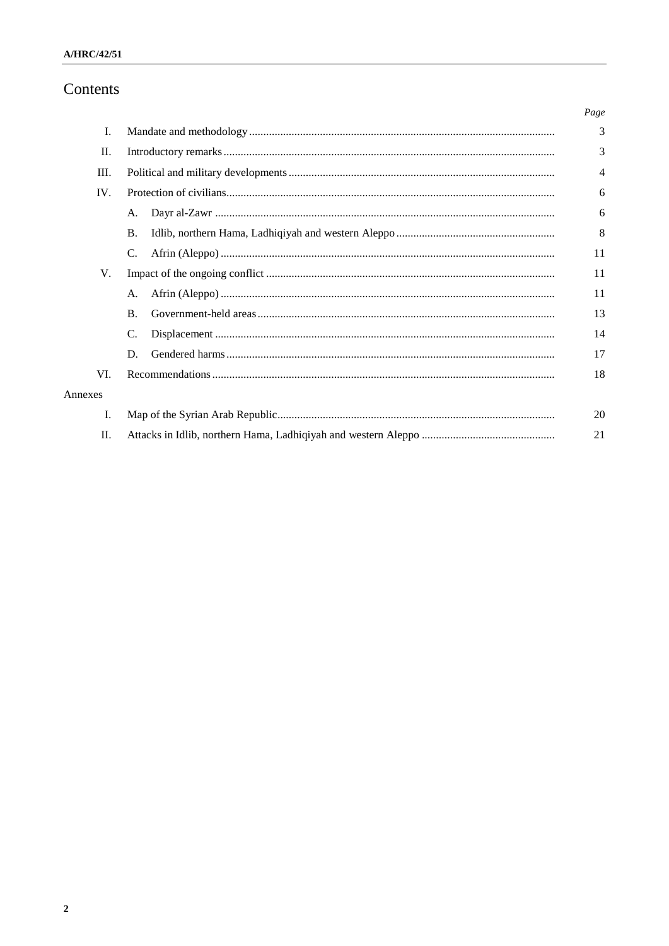# Contents

|         |                | Page |
|---------|----------------|------|
| Ι.      |                | 3    |
| П.      |                | 3    |
| III.    |                | 4    |
| IV.     |                | 6    |
|         | A.             | 6    |
|         | <b>B.</b>      | 8    |
|         | C.             | 11   |
| V.      |                | 11   |
|         | A.             | 11   |
|         | $\mathbf{B}$ . | 13   |
|         | C.             | 14   |
|         | D.             | 17   |
| VI.     |                | 18   |
| Annexes |                |      |
| I.      |                | 20   |
| П.      |                | 21   |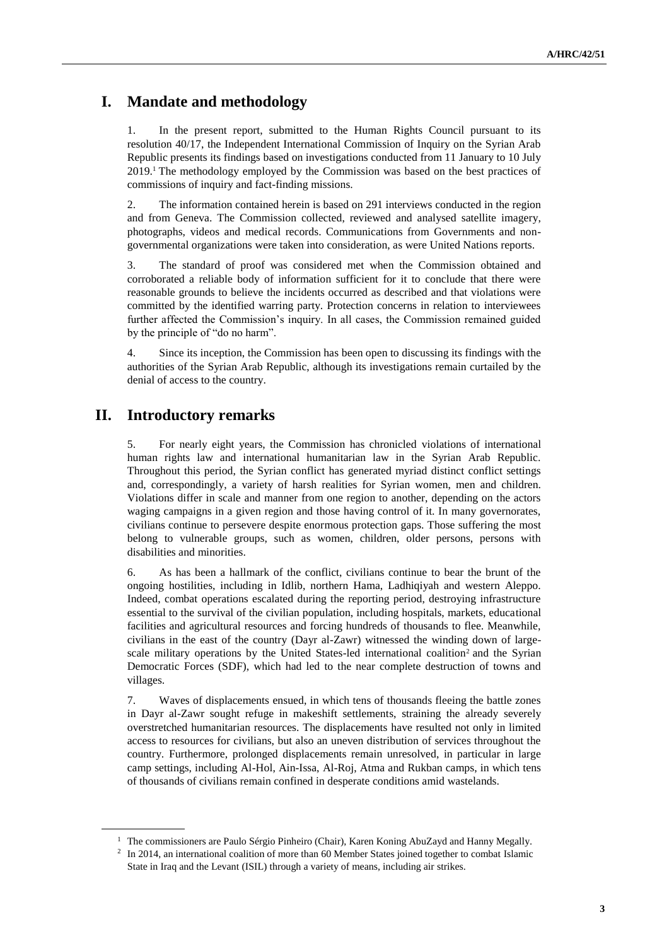# **I. Mandate and methodology**

1. In the present report, submitted to the Human Rights Council pursuant to its resolution 40/17, the Independent International Commission of Inquiry on the Syrian Arab Republic presents its findings based on investigations conducted from 11 January to 10 July 2019.<sup>1</sup> The methodology employed by the Commission was based on the best practices of commissions of inquiry and fact-finding missions.

2. The information contained herein is based on 291 interviews conducted in the region and from Geneva. The Commission collected, reviewed and analysed satellite imagery, photographs, videos and medical records. Communications from Governments and nongovernmental organizations were taken into consideration, as were United Nations reports.

3. The standard of proof was considered met when the Commission obtained and corroborated a reliable body of information sufficient for it to conclude that there were reasonable grounds to believe the incidents occurred as described and that violations were committed by the identified warring party. Protection concerns in relation to interviewees further affected the Commission's inquiry. In all cases, the Commission remained guided by the principle of "do no harm".

4. Since its inception, the Commission has been open to discussing its findings with the authorities of the Syrian Arab Republic, although its investigations remain curtailed by the denial of access to the country.

# **II. Introductory remarks**

5. For nearly eight years, the Commission has chronicled violations of international human rights law and international humanitarian law in the Syrian Arab Republic. Throughout this period, the Syrian conflict has generated myriad distinct conflict settings and, correspondingly, a variety of harsh realities for Syrian women, men and children. Violations differ in scale and manner from one region to another, depending on the actors waging campaigns in a given region and those having control of it. In many governorates, civilians continue to persevere despite enormous protection gaps. Those suffering the most belong to vulnerable groups, such as women, children, older persons, persons with disabilities and minorities.

6. As has been a hallmark of the conflict, civilians continue to bear the brunt of the ongoing hostilities, including in Idlib, northern Hama, Ladhiqiyah and western Aleppo. Indeed, combat operations escalated during the reporting period, destroying infrastructure essential to the survival of the civilian population, including hospitals, markets, educational facilities and agricultural resources and forcing hundreds of thousands to flee. Meanwhile, civilians in the east of the country (Dayr al-Zawr) witnessed the winding down of largescale military operations by the United States-led international coalition<sup>2</sup> and the Syrian Democratic Forces (SDF), which had led to the near complete destruction of towns and villages.

7. Waves of displacements ensued, in which tens of thousands fleeing the battle zones in Dayr al-Zawr sought refuge in makeshift settlements, straining the already severely overstretched humanitarian resources. The displacements have resulted not only in limited access to resources for civilians, but also an uneven distribution of services throughout the country. Furthermore, prolonged displacements remain unresolved, in particular in large camp settings, including Al-Hol, Ain-Issa, Al-Roj, Atma and Rukban camps, in which tens of thousands of civilians remain confined in desperate conditions amid wastelands.

<sup>&</sup>lt;sup>1</sup> The commissioners are Paulo Sérgio Pinheiro (Chair), Karen Koning AbuZayd and Hanny Megally.

<sup>&</sup>lt;sup>2</sup> In 2014, an international coalition of more than 60 Member States joined together to combat Islamic State in Iraq and the Levant (ISIL) through a variety of means, including air strikes.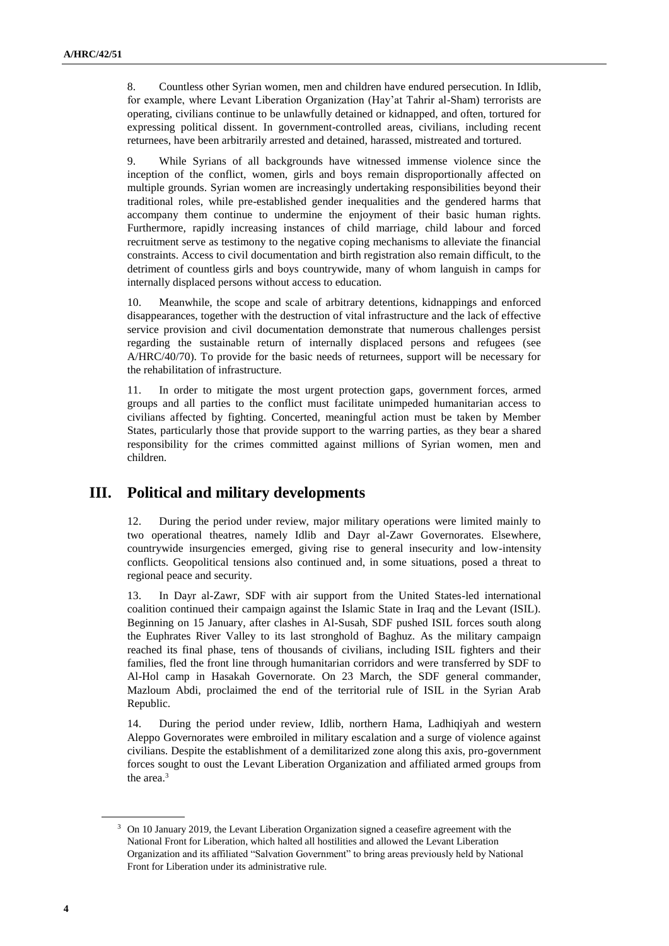8. Countless other Syrian women, men and children have endured persecution. In Idlib, for example, where Levant Liberation Organization (Hay'at Tahrir al-Sham) terrorists are operating, civilians continue to be unlawfully detained or kidnapped, and often, tortured for expressing political dissent. In government-controlled areas, civilians, including recent returnees, have been arbitrarily arrested and detained, harassed, mistreated and tortured.

9. While Syrians of all backgrounds have witnessed immense violence since the inception of the conflict, women, girls and boys remain disproportionally affected on multiple grounds. Syrian women are increasingly undertaking responsibilities beyond their traditional roles, while pre-established gender inequalities and the gendered harms that accompany them continue to undermine the enjoyment of their basic human rights. Furthermore, rapidly increasing instances of child marriage, child labour and forced recruitment serve as testimony to the negative coping mechanisms to alleviate the financial constraints. Access to civil documentation and birth registration also remain difficult, to the detriment of countless girls and boys countrywide, many of whom languish in camps for internally displaced persons without access to education.

10. Meanwhile, the scope and scale of arbitrary detentions, kidnappings and enforced disappearances, together with the destruction of vital infrastructure and the lack of effective service provision and civil documentation demonstrate that numerous challenges persist regarding the sustainable return of internally displaced persons and refugees (see A/HRC/40/70). To provide for the basic needs of returnees, support will be necessary for the rehabilitation of infrastructure.

11. In order to mitigate the most urgent protection gaps, government forces, armed groups and all parties to the conflict must facilitate unimpeded humanitarian access to civilians affected by fighting. Concerted, meaningful action must be taken by Member States, particularly those that provide support to the warring parties, as they bear a shared responsibility for the crimes committed against millions of Syrian women, men and children.

# **III. Political and military developments**

12. During the period under review, major military operations were limited mainly to two operational theatres, namely Idlib and Dayr al-Zawr Governorates. Elsewhere, countrywide insurgencies emerged, giving rise to general insecurity and low-intensity conflicts. Geopolitical tensions also continued and, in some situations, posed a threat to regional peace and security.

13. In Dayr al-Zawr, SDF with air support from the United States-led international coalition continued their campaign against the Islamic State in Iraq and the Levant (ISIL). Beginning on 15 January, after clashes in Al-Susah, SDF pushed ISIL forces south along the Euphrates River Valley to its last stronghold of Baghuz. As the military campaign reached its final phase, tens of thousands of civilians, including ISIL fighters and their families, fled the front line through humanitarian corridors and were transferred by SDF to Al-Hol camp in Hasakah Governorate. On 23 March, the SDF general commander, Mazloum Abdi, proclaimed the end of the territorial rule of ISIL in the Syrian Arab Republic.

14. During the period under review, Idlib, northern Hama, Ladhiqiyah and western Aleppo Governorates were embroiled in military escalation and a surge of violence against civilians. Despite the establishment of a demilitarized zone along this axis, pro-government forces sought to oust the Levant Liberation Organization and affiliated armed groups from the area.<sup>3</sup>

<sup>&</sup>lt;sup>3</sup> On 10 January 2019, the Levant Liberation Organization signed a ceasefire agreement with the National Front for Liberation, which halted all hostilities and allowed the Levant Liberation Organization and its affiliated "Salvation Government" to bring areas previously held by National Front for Liberation under its administrative rule.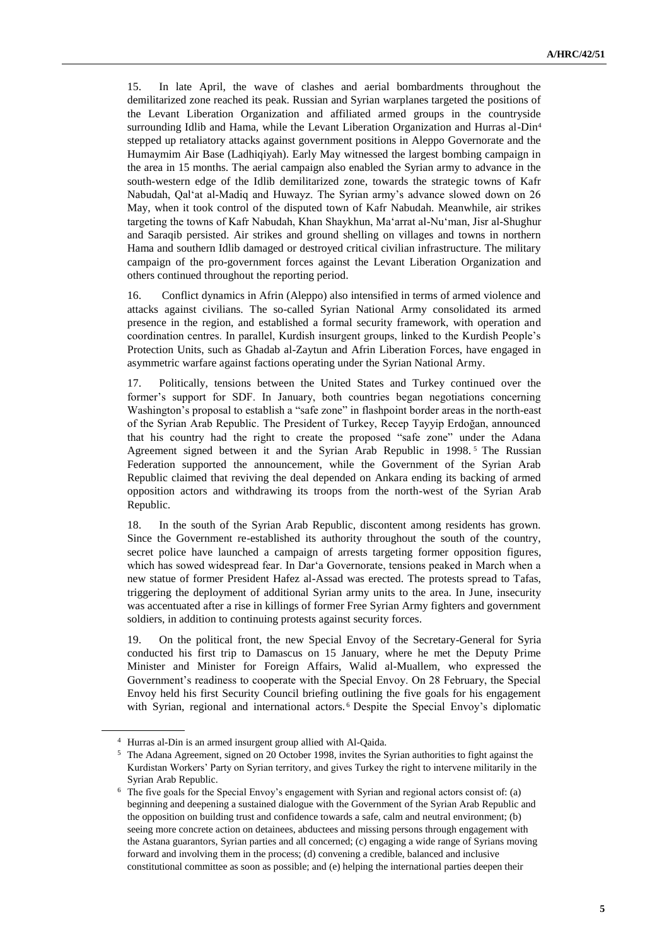15. In late April, the wave of clashes and aerial bombardments throughout the demilitarized zone reached its peak. Russian and Syrian warplanes targeted the positions of the Levant Liberation Organization and affiliated armed groups in the countryside surrounding Idlib and Hama, while the Levant Liberation Organization and Hurras al-Din<sup>4</sup> stepped up retaliatory attacks against government positions in Aleppo Governorate and the Humaymim Air Base (Ladhiqiyah). Early May witnessed the largest bombing campaign in the area in 15 months. The aerial campaign also enabled the Syrian army to advance in the south-western edge of the Idlib demilitarized zone, towards the strategic towns of Kafr Nabudah, Qalʻat al-Madiq and Huwayz. The Syrian army's advance slowed down on 26 May, when it took control of the disputed town of Kafr Nabudah. Meanwhile, air strikes targeting the towns of Kafr Nabudah, Khan Shaykhun, Ma'arrat al-Nu'man, Jisr al-Shughur and Saraqib persisted. Air strikes and ground shelling on villages and towns in northern Hama and southern Idlib damaged or destroyed critical civilian infrastructure. The military campaign of the pro-government forces against the Levant Liberation Organization and others continued throughout the reporting period.

16. Conflict dynamics in Afrin (Aleppo) also intensified in terms of armed violence and attacks against civilians. The so-called Syrian National Army consolidated its armed presence in the region, and established a formal security framework, with operation and coordination centres. In parallel, Kurdish insurgent groups, linked to the Kurdish People's Protection Units, such as Ghadab al-Zaytun and Afrin Liberation Forces, have engaged in asymmetric warfare against factions operating under the Syrian National Army.

17. Politically, tensions between the United States and Turkey continued over the former's support for SDF. In January, both countries began negotiations concerning Washington's proposal to establish a "safe zone" in flashpoint border areas in the north-east of the Syrian Arab Republic. The President of Turkey, Recep Tayyip Erdoğan, announced that his country had the right to create the proposed "safe zone" under the Adana Agreement signed between it and the Syrian Arab Republic in 1998.<sup>5</sup> The Russian Federation supported the announcement, while the Government of the Syrian Arab Republic claimed that reviving the deal depended on Ankara ending its backing of armed opposition actors and withdrawing its troops from the north-west of the Syrian Arab Republic.

18. In the south of the Syrian Arab Republic, discontent among residents has grown. Since the Government re-established its authority throughout the south of the country, secret police have launched a campaign of arrests targeting former opposition figures, which has sowed widespread fear. In Dar'a Governorate, tensions peaked in March when a new statue of former President Hafez al-Assad was erected. The protests spread to Tafas, triggering the deployment of additional Syrian army units to the area. In June, insecurity was accentuated after a rise in killings of former Free Syrian Army fighters and government soldiers, in addition to continuing protests against security forces.

19. On the political front, the new Special Envoy of the Secretary-General for Syria conducted his first trip to Damascus on 15 January, where he met the Deputy Prime Minister and Minister for Foreign Affairs, Walid al-Muallem, who expressed the Government's readiness to cooperate with the Special Envoy. On 28 February, the Special Envoy held his first Security Council briefing outlining the five goals for his engagement with Syrian, regional and international actors. <sup>6</sup> Despite the Special Envoy's diplomatic

<sup>4</sup> Hurras al-Din is an armed insurgent group allied with Al-Qaida.

<sup>5</sup> The Adana Agreement, signed on 20 October 1998, invites the Syrian authorities to fight against the Kurdistan Workers' Party on Syrian territory, and gives Turkey the right to intervene militarily in the Syrian Arab Republic.

<sup>&</sup>lt;sup>6</sup> The five goals for the Special Envoy's engagement with Syrian and regional actors consist of: (a) beginning and deepening a sustained dialogue with the Government of the Syrian Arab Republic and the opposition on building trust and confidence towards a safe, calm and neutral environment; (b) seeing more concrete action on detainees, abductees and missing persons through engagement with the Astana guarantors, Syrian parties and all concerned; (c) engaging a wide range of Syrians moving forward and involving them in the process; (d) convening a credible, balanced and inclusive constitutional committee as soon as possible; and (e) helping the international parties deepen their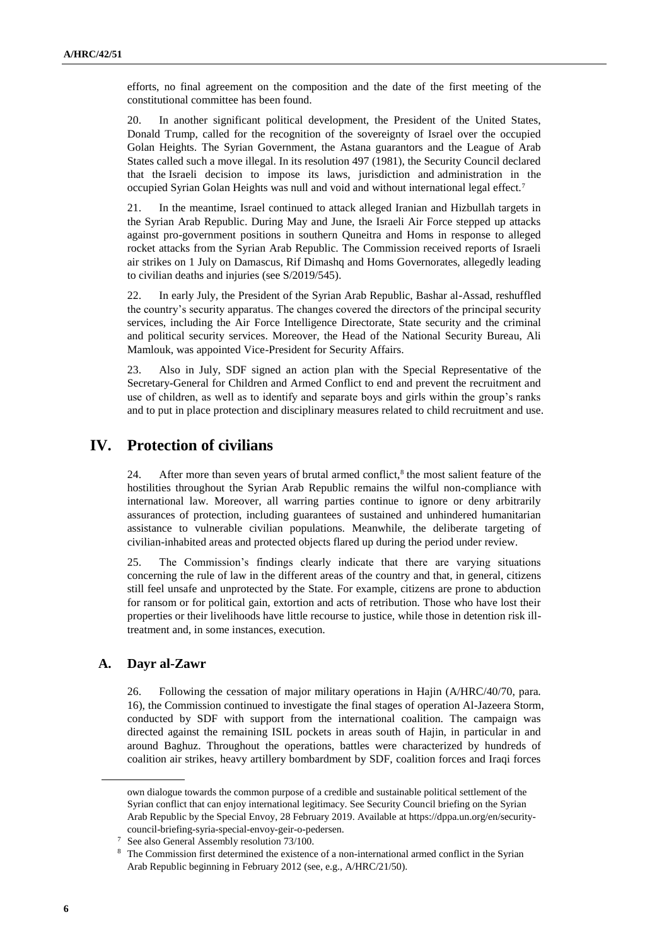efforts, no final agreement on the composition and the date of the first meeting of the constitutional committee has been found.

20. In another significant political development, the President of the United States, Donald Trump, called for the recognition of the sovereignty of Israel over the occupied Golan Heights. The Syrian Government, the Astana guarantors and the League of Arab States called such a move illegal. In its resolution 497 (1981), the Security Council declared that the Israeli decision to impose its laws, jurisdiction and administration in the occupied Syrian Golan Heights was null and void and without international legal effect.<sup>7</sup>

21. In the meantime, Israel continued to attack alleged Iranian and Hizbullah targets in the Syrian Arab Republic. During May and June, the Israeli Air Force stepped up attacks against pro-government positions in southern Quneitra and Homs in response to alleged rocket attacks from the Syrian Arab Republic. The Commission received reports of Israeli air strikes on 1 July on Damascus, Rif Dimashq and Homs Governorates, allegedly leading to civilian deaths and injuries (see S/2019/545).

22. In early July, the President of the Syrian Arab Republic, Bashar al-Assad, reshuffled the country's security apparatus. The changes covered the directors of the principal security services, including the Air Force Intelligence Directorate, State security and the criminal and political security services. Moreover, the Head of the National Security Bureau, Ali Mamlouk, was appointed Vice-President for Security Affairs.

23. Also in July, SDF signed an action plan with the Special Representative of the Secretary-General for Children and Armed Conflict to end and prevent the recruitment and use of children, as well as to identify and separate boys and girls within the group's ranks and to put in place protection and disciplinary measures related to child recruitment and use.

# **IV. Protection of civilians**

24. After more than seven years of brutal armed conflict, $\delta$  the most salient feature of the hostilities throughout the Syrian Arab Republic remains the wilful non-compliance with international law. Moreover, all warring parties continue to ignore or deny arbitrarily assurances of protection, including guarantees of sustained and unhindered humanitarian assistance to vulnerable civilian populations. Meanwhile, the deliberate targeting of civilian-inhabited areas and protected objects flared up during the period under review.

25. The Commission's findings clearly indicate that there are varying situations concerning the rule of law in the different areas of the country and that, in general, citizens still feel unsafe and unprotected by the State. For example, citizens are prone to abduction for ransom or for political gain, extortion and acts of retribution. Those who have lost their properties or their livelihoods have little recourse to justice, while those in detention risk illtreatment and, in some instances, execution.

## **A. Dayr al-Zawr**

26. Following the cessation of major military operations in Hajin (A/HRC/40/70, para. 16), the Commission continued to investigate the final stages of operation Al-Jazeera Storm, conducted by SDF with support from the international coalition. The campaign was directed against the remaining ISIL pockets in areas south of Hajin, in particular in and around Baghuz. Throughout the operations, battles were characterized by hundreds of coalition air strikes, heavy artillery bombardment by SDF, coalition forces and Iraqi forces

own dialogue towards the common purpose of a credible and sustainable political settlement of the Syrian conflict that can enjoy international legitimacy. See Security Council briefing on the Syrian Arab Republic by the Special Envoy, 28 February 2019. Available at https://dppa.un.org/en/securitycouncil-briefing-syria-special-envoy-geir-o-pedersen.

<sup>7</sup> See also General Assembly resolution 73/100.

<sup>&</sup>lt;sup>8</sup> The Commission first determined the existence of a non-international armed conflict in the Syrian Arab Republic beginning in February 2012 (see, e.g., A/HRC/21/50).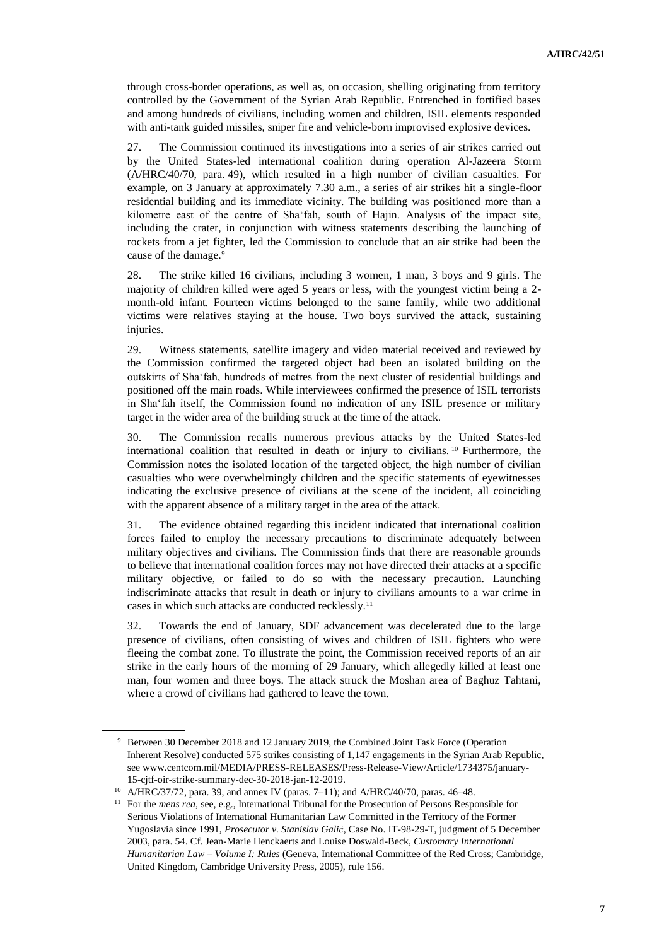through cross-border operations, as well as, on occasion, shelling originating from territory controlled by the Government of the Syrian Arab Republic. Entrenched in fortified bases and among hundreds of civilians, including women and children, ISIL elements responded with anti-tank guided missiles, sniper fire and vehicle-born improvised explosive devices.

27. The Commission continued its investigations into a series of air strikes carried out by the United States-led international coalition during operation Al-Jazeera Storm (A/HRC/40/70, para. 49), which resulted in a high number of civilian casualties. For example, on 3 January at approximately 7.30 a.m., a series of air strikes hit a single-floor residential building and its immediate vicinity. The building was positioned more than a kilometre east of the centre of Sha'fah, south of Hajin. Analysis of the impact site, including the crater, in conjunction with witness statements describing the launching of rockets from a jet fighter, led the Commission to conclude that an air strike had been the cause of the damage.<sup>9</sup>

28. The strike killed 16 civilians, including 3 women, 1 man, 3 boys and 9 girls. The majority of children killed were aged 5 years or less, with the youngest victim being a 2 month-old infant. Fourteen victims belonged to the same family, while two additional victims were relatives staying at the house. Two boys survived the attack, sustaining injuries.

29. Witness statements, satellite imagery and video material received and reviewed by the Commission confirmed the targeted object had been an isolated building on the outskirts of Sha'fah, hundreds of metres from the next cluster of residential buildings and positioned off the main roads. While interviewees confirmed the presence of ISIL terrorists in Sha'fah itself, the Commission found no indication of any ISIL presence or military target in the wider area of the building struck at the time of the attack.

30. The Commission recalls numerous previous attacks by the United States-led international coalition that resulted in death or injury to civilians. <sup>10</sup> Furthermore, the Commission notes the isolated location of the targeted object, the high number of civilian casualties who were overwhelmingly children and the specific statements of eyewitnesses indicating the exclusive presence of civilians at the scene of the incident, all coinciding with the apparent absence of a military target in the area of the attack.

31. The evidence obtained regarding this incident indicated that international coalition forces failed to employ the necessary precautions to discriminate adequately between military objectives and civilians. The Commission finds that there are reasonable grounds to believe that international coalition forces may not have directed their attacks at a specific military objective, or failed to do so with the necessary precaution. Launching indiscriminate attacks that result in death or injury to civilians amounts to a war crime in cases in which such attacks are conducted recklessly.<sup>11</sup>

32. Towards the end of January, SDF advancement was decelerated due to the large presence of civilians, often consisting of wives and children of ISIL fighters who were fleeing the combat zone. To illustrate the point, the Commission received reports of an air strike in the early hours of the morning of 29 January, which allegedly killed at least one man, four women and three boys. The attack struck the Moshan area of Baghuz Tahtani, where a crowd of civilians had gathered to leave the town.

<sup>9</sup> Between 30 December 2018 and 12 January 2019, the Combined Joint Task Force (Operation Inherent Resolve) conducted 575 strikes consisting of 1,147 engagements in the Syrian Arab Republic, see www.centcom.mil/MEDIA/PRESS-RELEASES/Press-Release-View/Article/1734375/january-15-cjtf-oir-strike-summary-dec-30-2018-jan-12-2019.

<sup>10</sup> A/HRC/37/72, para. 39, and annex IV (paras. 7–11); and A/HRC/40/70, paras. 46–48.

<sup>&</sup>lt;sup>11</sup> For the *mens rea*, see, e.g., International Tribunal for the Prosecution of Persons Responsible for Serious Violations of International Humanitarian Law Committed in the Territory of the Former Yugoslavia since 1991, *Prosecutor v. Stanislav Galić*, Case No. IT-98-29-T, judgment of 5 December 2003, para. 54. Cf. Jean-Marie Henckaerts and Louise Doswald-Beck, *Customary International Humanitarian Law – Volume I: Rules* (Geneva, International Committee of the Red Cross; Cambridge, United Kingdom, Cambridge University Press, 2005), rule 156.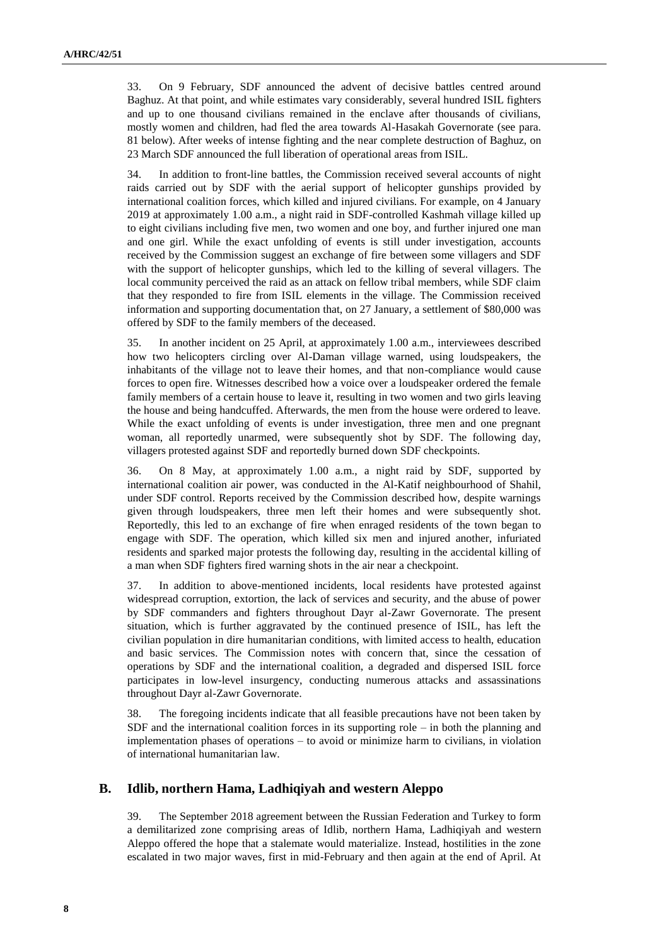33. On 9 February, SDF announced the advent of decisive battles centred around Baghuz. At that point, and while estimates vary considerably, several hundred ISIL fighters and up to one thousand civilians remained in the enclave after thousands of civilians, mostly women and children, had fled the area towards Al-Hasakah Governorate (see para. 81 below). After weeks of intense fighting and the near complete destruction of Baghuz, on 23 March SDF announced the full liberation of operational areas from ISIL.

34. In addition to front-line battles, the Commission received several accounts of night raids carried out by SDF with the aerial support of helicopter gunships provided by international coalition forces, which killed and injured civilians. For example, on 4 January 2019 at approximately 1.00 a.m., a night raid in SDF-controlled Kashmah village killed up to eight civilians including five men, two women and one boy, and further injured one man and one girl. While the exact unfolding of events is still under investigation, accounts received by the Commission suggest an exchange of fire between some villagers and SDF with the support of helicopter gunships, which led to the killing of several villagers. The local community perceived the raid as an attack on fellow tribal members, while SDF claim that they responded to fire from ISIL elements in the village. The Commission received information and supporting documentation that, on 27 January, a settlement of \$80,000 was offered by SDF to the family members of the deceased.

35. In another incident on 25 April, at approximately 1.00 a.m., interviewees described how two helicopters circling over Al-Daman village warned, using loudspeakers, the inhabitants of the village not to leave their homes, and that non-compliance would cause forces to open fire. Witnesses described how a voice over a loudspeaker ordered the female family members of a certain house to leave it, resulting in two women and two girls leaving the house and being handcuffed. Afterwards, the men from the house were ordered to leave. While the exact unfolding of events is under investigation, three men and one pregnant woman, all reportedly unarmed, were subsequently shot by SDF. The following day, villagers protested against SDF and reportedly burned down SDF checkpoints.

36. On 8 May, at approximately 1.00 a.m., a night raid by SDF, supported by international coalition air power, was conducted in the Al-Katif neighbourhood of Shahil, under SDF control. Reports received by the Commission described how, despite warnings given through loudspeakers, three men left their homes and were subsequently shot. Reportedly, this led to an exchange of fire when enraged residents of the town began to engage with SDF. The operation, which killed six men and injured another, infuriated residents and sparked major protests the following day, resulting in the accidental killing of a man when SDF fighters fired warning shots in the air near a checkpoint.

37. In addition to above-mentioned incidents, local residents have protested against widespread corruption, extortion, the lack of services and security, and the abuse of power by SDF commanders and fighters throughout Dayr al-Zawr Governorate. The present situation, which is further aggravated by the continued presence of ISIL, has left the civilian population in dire humanitarian conditions, with limited access to health, education and basic services. The Commission notes with concern that, since the cessation of operations by SDF and the international coalition, a degraded and dispersed ISIL force participates in low-level insurgency, conducting numerous attacks and assassinations throughout Dayr al-Zawr Governorate.

38. The foregoing incidents indicate that all feasible precautions have not been taken by SDF and the international coalition forces in its supporting role – in both the planning and implementation phases of operations – to avoid or minimize harm to civilians, in violation of international humanitarian law.

### **B. Idlib, northern Hama, Ladhiqiyah and western Aleppo**

39. The September 2018 agreement between the Russian Federation and Turkey to form a demilitarized zone comprising areas of Idlib, northern Hama, Ladhiqiyah and western Aleppo offered the hope that a stalemate would materialize. Instead, hostilities in the zone escalated in two major waves, first in mid-February and then again at the end of April. At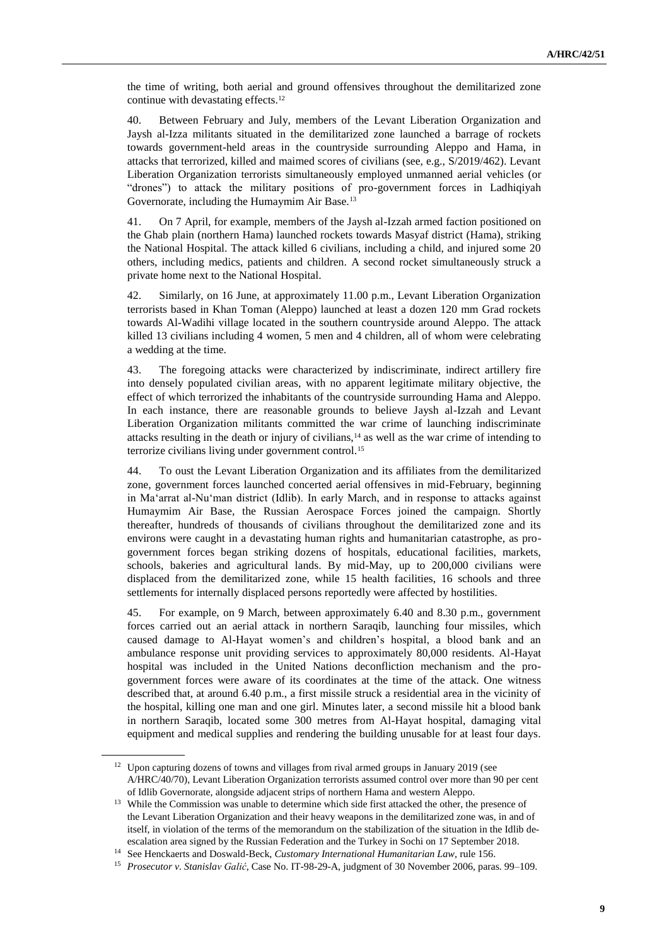the time of writing, both aerial and ground offensives throughout the demilitarized zone continue with devastating effects.<sup>12</sup>

40. Between February and July, members of the Levant Liberation Organization and Jaysh al-Izza militants situated in the demilitarized zone launched a barrage of rockets towards government-held areas in the countryside surrounding Aleppo and Hama, in attacks that terrorized, killed and maimed scores of civilians (see, e.g., S/2019/462). Levant Liberation Organization terrorists simultaneously employed unmanned aerial vehicles (or "drones") to attack the military positions of pro-government forces in Ladhiqiyah Governorate, including the Humaymim Air Base.<sup>13</sup>

41. On 7 April, for example, members of the Jaysh al-Izzah armed faction positioned on the Ghab plain (northern Hama) launched rockets towards Masyaf district (Hama), striking the National Hospital. The attack killed 6 civilians, including a child, and injured some 20 others, including medics, patients and children. A second rocket simultaneously struck a private home next to the National Hospital.

42. Similarly, on 16 June, at approximately 11.00 p.m., Levant Liberation Organization terrorists based in Khan Toman (Aleppo) launched at least a dozen 120 mm Grad rockets towards Al-Wadihi village located in the southern countryside around Aleppo. The attack killed 13 civilians including 4 women, 5 men and 4 children, all of whom were celebrating a wedding at the time.

43. The foregoing attacks were characterized by indiscriminate, indirect artillery fire into densely populated civilian areas, with no apparent legitimate military objective, the effect of which terrorized the inhabitants of the countryside surrounding Hama and Aleppo. In each instance, there are reasonable grounds to believe Jaysh al-Izzah and Levant Liberation Organization militants committed the war crime of launching indiscriminate attacks resulting in the death or injury of civilians,<sup>14</sup> as well as the war crime of intending to terrorize civilians living under government control.<sup>15</sup>

44. To oust the Levant Liberation Organization and its affiliates from the demilitarized zone, government forces launched concerted aerial offensives in mid-February, beginning in Ma'arrat al-Nu'man district (Idlib). In early March, and in response to attacks against Humaymim Air Base, the Russian Aerospace Forces joined the campaign. Shortly thereafter, hundreds of thousands of civilians throughout the demilitarized zone and its environs were caught in a devastating human rights and humanitarian catastrophe, as progovernment forces began striking dozens of hospitals, educational facilities, markets, schools, bakeries and agricultural lands. By mid-May, up to 200,000 civilians were displaced from the demilitarized zone, while 15 health facilities, 16 schools and three settlements for internally displaced persons reportedly were affected by hostilities.

45. For example, on 9 March, between approximately 6.40 and 8.30 p.m., government forces carried out an aerial attack in northern Saraqib, launching four missiles, which caused damage to Al-Hayat women's and children's hospital, a blood bank and an ambulance response unit providing services to approximately 80,000 residents. Al-Hayat hospital was included in the United Nations deconfliction mechanism and the progovernment forces were aware of its coordinates at the time of the attack. One witness described that, at around 6.40 p.m., a first missile struck a residential area in the vicinity of the hospital, killing one man and one girl. Minutes later, a second missile hit a blood bank in northern Saraqib, located some 300 metres from Al-Hayat hospital, damaging vital equipment and medical supplies and rendering the building unusable for at least four days.

<sup>&</sup>lt;sup>12</sup> Upon capturing dozens of towns and villages from rival armed groups in January 2019 (see A/HRC/40/70), Levant Liberation Organization terrorists assumed control over more than 90 per cent of Idlib Governorate, alongside adjacent strips of northern Hama and western Aleppo.

<sup>&</sup>lt;sup>13</sup> While the Commission was unable to determine which side first attacked the other, the presence of the Levant Liberation Organization and their heavy weapons in the demilitarized zone was, in and of itself, in violation of the terms of the memorandum on the stabilization of the situation in the Idlib deescalation area signed by the Russian Federation and the Turkey in Sochi on 17 September 2018.

<sup>14</sup> See Henckaerts and Doswald-Beck, *Customary International Humanitarian Law*, rule 156.

<sup>15</sup> *Prosecutor v. Stanislav Galić*, Case No. IT-98-29-A, judgment of 30 November 2006, paras. 99–109.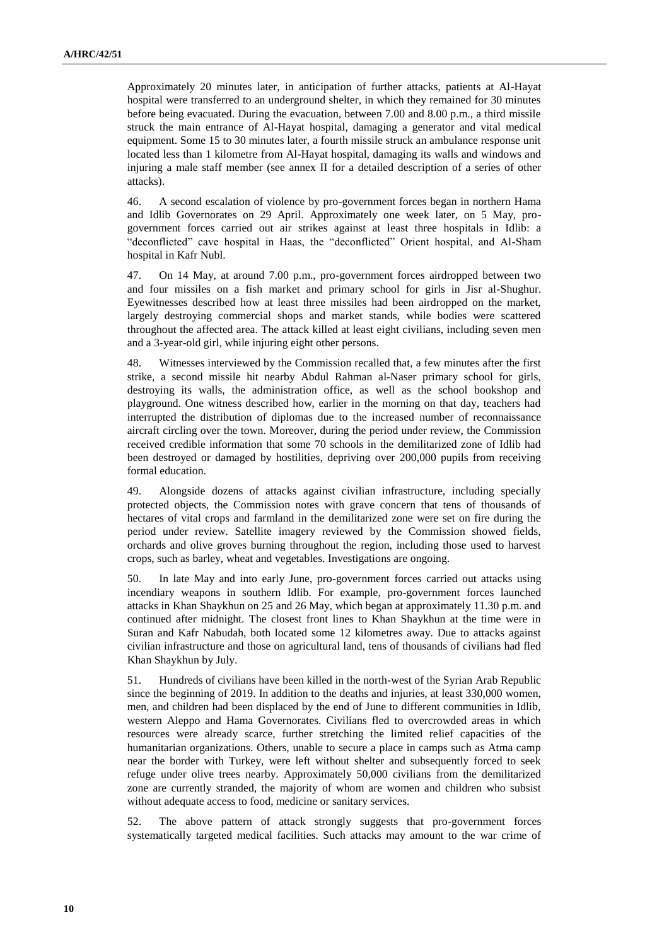Approximately 20 minutes later, in anticipation of further attacks, patients at Al-Hayat hospital were transferred to an underground shelter, in which they remained for 30 minutes before being evacuated. During the evacuation, between 7.00 and 8.00 p.m., a third missile struck the main entrance of Al-Hayat hospital, damaging a generator and vital medical equipment. Some 15 to 30 minutes later, a fourth missile struck an ambulance response unit located less than 1 kilometre from Al-Hayat hospital, damaging its walls and windows and injuring a male staff member (see annex II for a detailed description of a series of other attacks).

46. A second escalation of violence by pro-government forces began in northern Hama and Idlib Governorates on 29 April. Approximately one week later, on 5 May, progovernment forces carried out air strikes against at least three hospitals in Idlib: a "deconflicted" cave hospital in Haas, the "deconflicted" Orient hospital, and Al-Sham hospital in Kafr Nubl.

47. On 14 May, at around 7.00 p.m., pro-government forces airdropped between two and four missiles on a fish market and primary school for girls in Jisr al-Shughur. Eyewitnesses described how at least three missiles had been airdropped on the market, largely destroying commercial shops and market stands, while bodies were scattered throughout the affected area. The attack killed at least eight civilians, including seven men and a 3-year-old girl, while injuring eight other persons.

48. Witnesses interviewed by the Commission recalled that, a few minutes after the first strike, a second missile hit nearby Abdul Rahman al-Naser primary school for girls, destroying its walls, the administration office, as well as the school bookshop and playground. One witness described how, earlier in the morning on that day, teachers had interrupted the distribution of diplomas due to the increased number of reconnaissance aircraft circling over the town. Moreover, during the period under review, the Commission received credible information that some 70 schools in the demilitarized zone of Idlib had been destroyed or damaged by hostilities, depriving over 200,000 pupils from receiving formal education.

49. Alongside dozens of attacks against civilian infrastructure, including specially protected objects, the Commission notes with grave concern that tens of thousands of hectares of vital crops and farmland in the demilitarized zone were set on fire during the period under review. Satellite imagery reviewed by the Commission showed fields, orchards and olive groves burning throughout the region, including those used to harvest crops, such as barley, wheat and vegetables. Investigations are ongoing.

50. In late May and into early June, pro-government forces carried out attacks using incendiary weapons in southern Idlib. For example, pro-government forces launched attacks in Khan Shaykhun on 25 and 26 May, which began at approximately 11.30 p.m. and continued after midnight. The closest front lines to Khan Shaykhun at the time were in Suran and Kafr Nabudah, both located some 12 kilometres away. Due to attacks against civilian infrastructure and those on agricultural land, tens of thousands of civilians had fled Khan Shaykhun by July.

51. Hundreds of civilians have been killed in the north-west of the Syrian Arab Republic since the beginning of 2019. In addition to the deaths and injuries, at least 330,000 women, men, and children had been displaced by the end of June to different communities in Idlib, western Aleppo and Hama Governorates. Civilians fled to overcrowded areas in which resources were already scarce, further stretching the limited relief capacities of the humanitarian organizations. Others, unable to secure a place in camps such as Atma camp near the border with Turkey, were left without shelter and subsequently forced to seek refuge under olive trees nearby. Approximately 50,000 civilians from the demilitarized zone are currently stranded, the majority of whom are women and children who subsist without adequate access to food, medicine or sanitary services.

52. The above pattern of attack strongly suggests that pro-government forces systematically targeted medical facilities. Such attacks may amount to the war crime of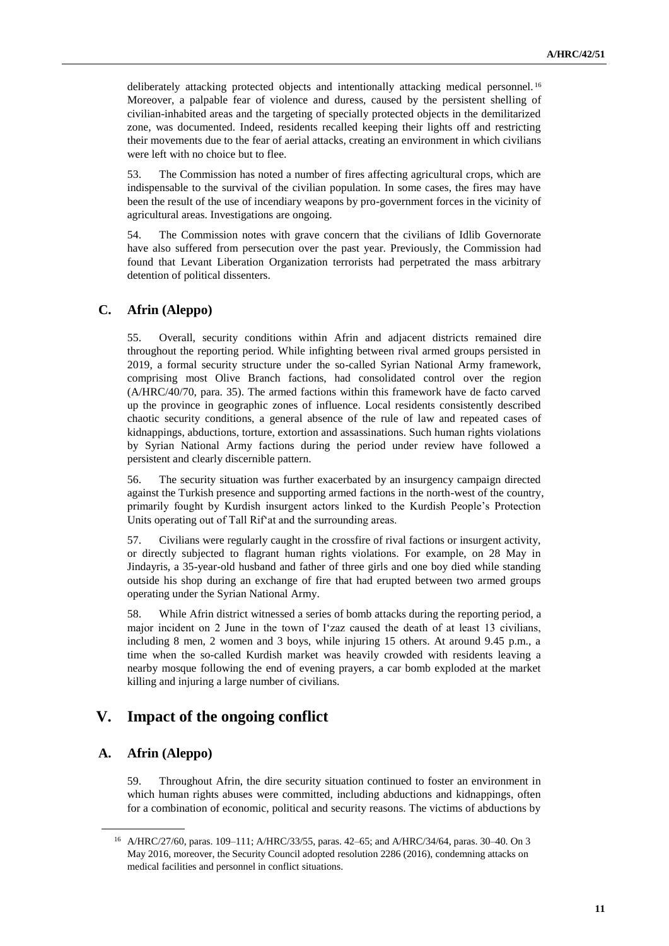deliberately attacking protected objects and intentionally attacking medical personnel.<sup>16</sup> Moreover, a palpable fear of violence and duress, caused by the persistent shelling of civilian-inhabited areas and the targeting of specially protected objects in the demilitarized zone, was documented. Indeed, residents recalled keeping their lights off and restricting their movements due to the fear of aerial attacks, creating an environment in which civilians were left with no choice but to flee.

53. The Commission has noted a number of fires affecting agricultural crops, which are indispensable to the survival of the civilian population. In some cases, the fires may have been the result of the use of incendiary weapons by pro-government forces in the vicinity of agricultural areas. Investigations are ongoing.

54. The Commission notes with grave concern that the civilians of Idlib Governorate have also suffered from persecution over the past year. Previously, the Commission had found that Levant Liberation Organization terrorists had perpetrated the mass arbitrary detention of political dissenters.

## **C. Afrin (Aleppo)**

55. Overall, security conditions within Afrin and adjacent districts remained dire throughout the reporting period. While infighting between rival armed groups persisted in 2019, a formal security structure under the so-called Syrian National Army framework, comprising most Olive Branch factions, had consolidated control over the region (A/HRC/40/70, para. 35). The armed factions within this framework have de facto carved up the province in geographic zones of influence. Local residents consistently described chaotic security conditions, a general absence of the rule of law and repeated cases of kidnappings, abductions, torture, extortion and assassinations. Such human rights violations by Syrian National Army factions during the period under review have followed a persistent and clearly discernible pattern.

56. The security situation was further exacerbated by an insurgency campaign directed against the Turkish presence and supporting armed factions in the north-west of the country, primarily fought by Kurdish insurgent actors linked to the Kurdish People's Protection Units operating out of Tall Rif'at and the surrounding areas.

57. Civilians were regularly caught in the crossfire of rival factions or insurgent activity, or directly subjected to flagrant human rights violations. For example, on 28 May in Jindayris, a 35-year-old husband and father of three girls and one boy died while standing outside his shop during an exchange of fire that had erupted between two armed groups operating under the Syrian National Army.

58. While Afrin district witnessed a series of bomb attacks during the reporting period, a major incident on 2 June in the town of I'zaz caused the death of at least 13 civilians, including 8 men, 2 women and 3 boys, while injuring 15 others. At around 9.45 p.m., a time when the so-called Kurdish market was heavily crowded with residents leaving a nearby mosque following the end of evening prayers, a car bomb exploded at the market killing and injuring a large number of civilians.

# **V. Impact of the ongoing conflict**

## **A. Afrin (Aleppo)**

59. Throughout Afrin, the dire security situation continued to foster an environment in which human rights abuses were committed, including abductions and kidnappings, often for a combination of economic, political and security reasons. The victims of abductions by

<sup>16</sup> A/HRC/27/60, paras. 109–111; A/HRC/33/55, paras. 42–65; and A/HRC/34/64, paras. 30–40. On 3 May 2016, moreover, the Security Council adopted resolution 2286 (2016), condemning attacks on medical facilities and personnel in conflict situations.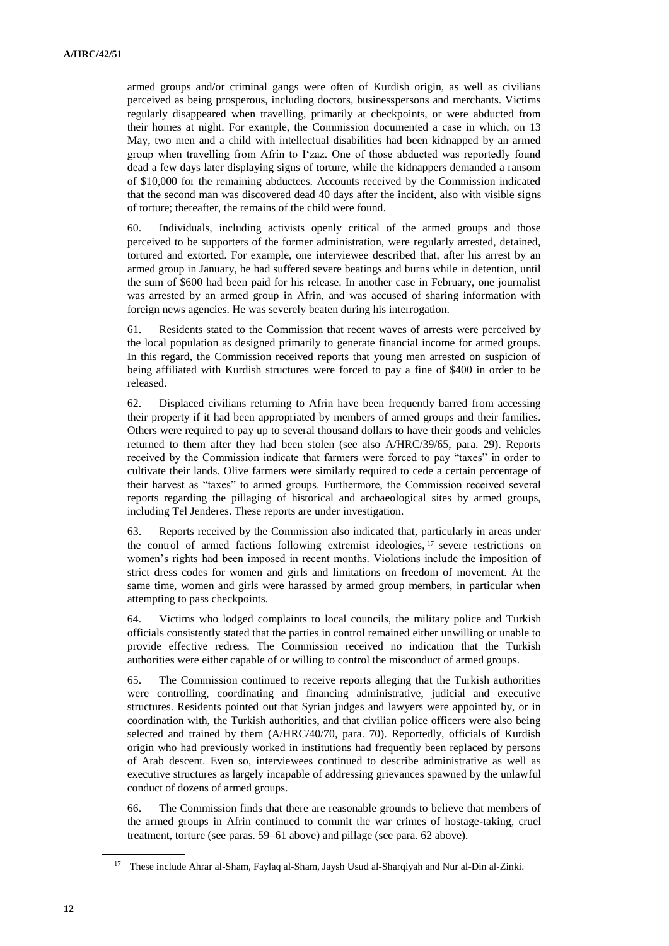armed groups and/or criminal gangs were often of Kurdish origin, as well as civilians perceived as being prosperous, including doctors, businesspersons and merchants. Victims regularly disappeared when travelling, primarily at checkpoints, or were abducted from their homes at night. For example, the Commission documented a case in which, on 13 May, two men and a child with intellectual disabilities had been kidnapped by an armed group when travelling from Afrin to I'zaz. One of those abducted was reportedly found dead a few days later displaying signs of torture, while the kidnappers demanded a ransom of \$10,000 for the remaining abductees. Accounts received by the Commission indicated that the second man was discovered dead 40 days after the incident, also with visible signs of torture; thereafter, the remains of the child were found.

60. Individuals, including activists openly critical of the armed groups and those perceived to be supporters of the former administration, were regularly arrested, detained, tortured and extorted. For example, one interviewee described that, after his arrest by an armed group in January, he had suffered severe beatings and burns while in detention, until the sum of \$600 had been paid for his release. In another case in February, one journalist was arrested by an armed group in Afrin, and was accused of sharing information with foreign news agencies. He was severely beaten during his interrogation.

61. Residents stated to the Commission that recent waves of arrests were perceived by the local population as designed primarily to generate financial income for armed groups. In this regard, the Commission received reports that young men arrested on suspicion of being affiliated with Kurdish structures were forced to pay a fine of \$400 in order to be released.

62. Displaced civilians returning to Afrin have been frequently barred from accessing their property if it had been appropriated by members of armed groups and their families. Others were required to pay up to several thousand dollars to have their goods and vehicles returned to them after they had been stolen (see also A/HRC/39/65, para. 29). Reports received by the Commission indicate that farmers were forced to pay "taxes" in order to cultivate their lands. Olive farmers were similarly required to cede a certain percentage of their harvest as "taxes" to armed groups. Furthermore, the Commission received several reports regarding the pillaging of historical and archaeological sites by armed groups, including Tel Jenderes. These reports are under investigation.

63. Reports received by the Commission also indicated that, particularly in areas under the control of armed factions following extremist ideologies, <sup>17</sup> severe restrictions on women's rights had been imposed in recent months. Violations include the imposition of strict dress codes for women and girls and limitations on freedom of movement. At the same time, women and girls were harassed by armed group members, in particular when attempting to pass checkpoints.

64. Victims who lodged complaints to local councils, the military police and Turkish officials consistently stated that the parties in control remained either unwilling or unable to provide effective redress. The Commission received no indication that the Turkish authorities were either capable of or willing to control the misconduct of armed groups.

65. The Commission continued to receive reports alleging that the Turkish authorities were controlling, coordinating and financing administrative, judicial and executive structures. Residents pointed out that Syrian judges and lawyers were appointed by, or in coordination with, the Turkish authorities, and that civilian police officers were also being selected and trained by them (A/HRC/40/70, para. 70). Reportedly, officials of Kurdish origin who had previously worked in institutions had frequently been replaced by persons of Arab descent. Even so, interviewees continued to describe administrative as well as executive structures as largely incapable of addressing grievances spawned by the unlawful conduct of dozens of armed groups.

66. The Commission finds that there are reasonable grounds to believe that members of the armed groups in Afrin continued to commit the war crimes of hostage-taking, cruel treatment, torture (see paras. 59–61 above) and pillage (see para. 62 above).

<sup>17</sup> These include Ahrar al-Sham, Faylaq al-Sham, Jaysh Usud al-Sharqiyah and Nur al-Din al-Zinki.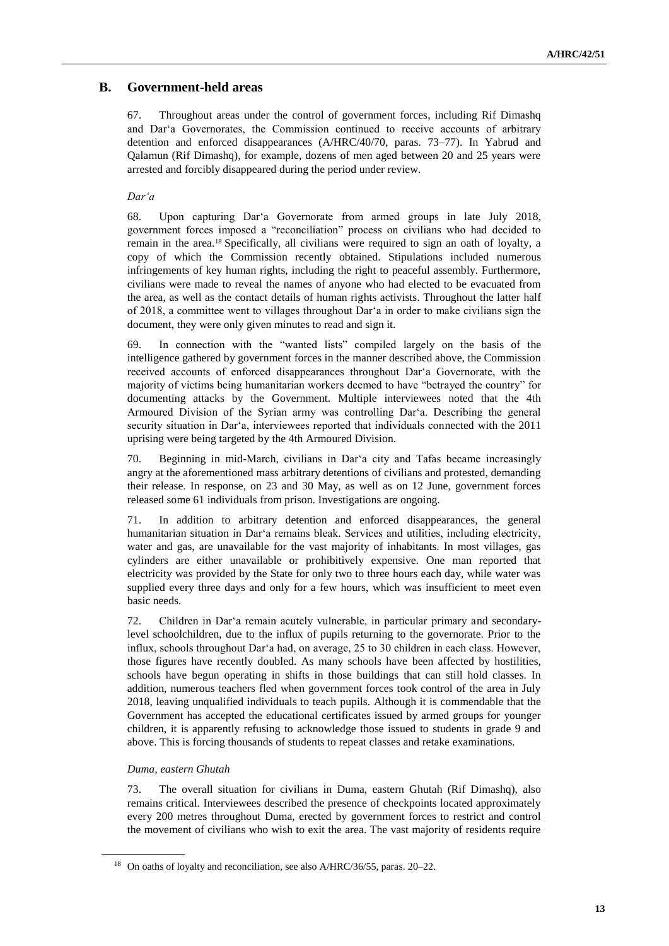## **B. Government-held areas**

67. Throughout areas under the control of government forces, including Rif Dimashq and Dar'a Governorates, the Commission continued to receive accounts of arbitrary detention and enforced disappearances (A/HRC/40/70, paras. 73–77). In Yabrud and Qalamun (Rif Dimashq), for example, dozens of men aged between 20 and 25 years were arrested and forcibly disappeared during the period under review.

### *Dar'a*

68. Upon capturing Dar'a Governorate from armed groups in late July 2018, government forces imposed a "reconciliation" process on civilians who had decided to remain in the area.<sup>18</sup> Specifically, all civilians were required to sign an oath of loyalty, a copy of which the Commission recently obtained. Stipulations included numerous infringements of key human rights, including the right to peaceful assembly. Furthermore, civilians were made to reveal the names of anyone who had elected to be evacuated from the area, as well as the contact details of human rights activists. Throughout the latter half of 2018, a committee went to villages throughout Dar'a in order to make civilians sign the document, they were only given minutes to read and sign it.

69. In connection with the "wanted lists" compiled largely on the basis of the intelligence gathered by government forces in the manner described above, the Commission received accounts of enforced disappearances throughout Dar'a Governorate, with the majority of victims being humanitarian workers deemed to have "betrayed the country" for documenting attacks by the Government. Multiple interviewees noted that the 4th Armoured Division of the Syrian army was controlling Dar'a. Describing the general security situation in Dar'a, interviewees reported that individuals connected with the 2011 uprising were being targeted by the 4th Armoured Division.

70. Beginning in mid-March, civilians in Dar'a city and Tafas became increasingly angry at the aforementioned mass arbitrary detentions of civilians and protested, demanding their release. In response, on 23 and 30 May, as well as on 12 June, government forces released some 61 individuals from prison. Investigations are ongoing.

71. In addition to arbitrary detention and enforced disappearances, the general humanitarian situation in Dar'a remains bleak. Services and utilities, including electricity, water and gas, are unavailable for the vast majority of inhabitants. In most villages, gas cylinders are either unavailable or prohibitively expensive. One man reported that electricity was provided by the State for only two to three hours each day, while water was supplied every three days and only for a few hours, which was insufficient to meet even basic needs.

72. Children in Dar'a remain acutely vulnerable, in particular primary and secondarylevel schoolchildren, due to the influx of pupils returning to the governorate. Prior to the influx, schools throughout Dar'a had, on average, 25 to 30 children in each class. However, those figures have recently doubled. As many schools have been affected by hostilities, schools have begun operating in shifts in those buildings that can still hold classes. In addition, numerous teachers fled when government forces took control of the area in July 2018, leaving unqualified individuals to teach pupils. Although it is commendable that the Government has accepted the educational certificates issued by armed groups for younger children, it is apparently refusing to acknowledge those issued to students in grade 9 and above. This is forcing thousands of students to repeat classes and retake examinations.

#### *Duma, eastern Ghutah*

73. The overall situation for civilians in Duma, eastern Ghutah (Rif Dimashq), also remains critical. Interviewees described the presence of checkpoints located approximately every 200 metres throughout Duma, erected by government forces to restrict and control the movement of civilians who wish to exit the area. The vast majority of residents require

<sup>&</sup>lt;sup>18</sup> On oaths of loyalty and reconciliation, see also A/HRC/36/55, paras. 20–22.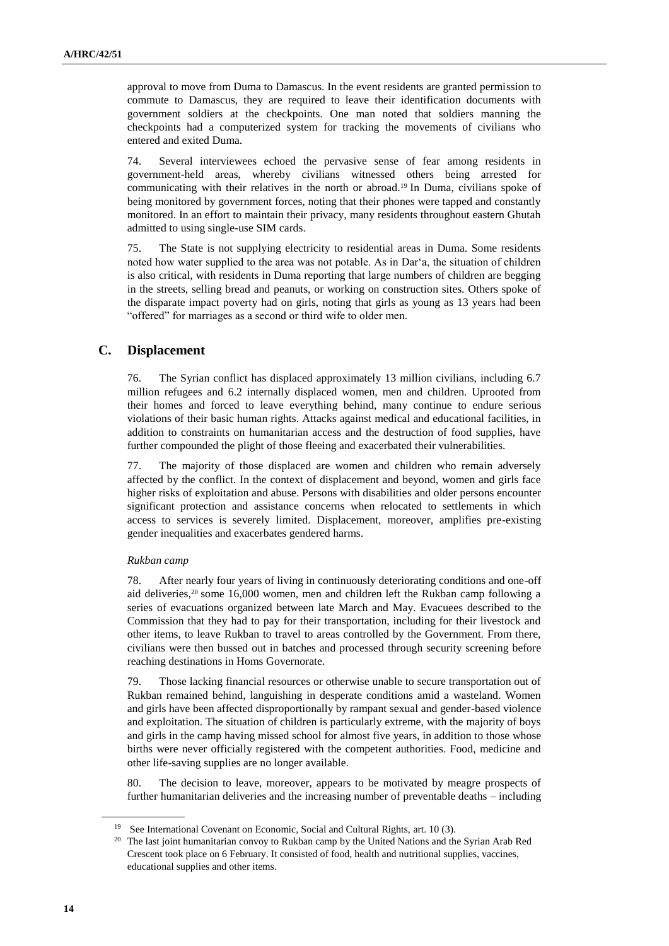approval to move from Duma to Damascus. In the event residents are granted permission to commute to Damascus, they are required to leave their identification documents with government soldiers at the checkpoints. One man noted that soldiers manning the checkpoints had a computerized system for tracking the movements of civilians who entered and exited Duma.

74. Several interviewees echoed the pervasive sense of fear among residents in government-held areas, whereby civilians witnessed others being arrested for communicating with their relatives in the north or abroad.<sup>19</sup> In Duma, civilians spoke of being monitored by government forces, noting that their phones were tapped and constantly monitored. In an effort to maintain their privacy, many residents throughout eastern Ghutah admitted to using single-use SIM cards.

75. The State is not supplying electricity to residential areas in Duma. Some residents noted how water supplied to the area was not potable. As in Dar'a, the situation of children is also critical, with residents in Duma reporting that large numbers of children are begging in the streets, selling bread and peanuts, or working on construction sites. Others spoke of the disparate impact poverty had on girls, noting that girls as young as 13 years had been "offered" for marriages as a second or third wife to older men.

## **C. Displacement**

76. The Syrian conflict has displaced approximately 13 million civilians, including 6.7 million refugees and 6.2 internally displaced women, men and children. Uprooted from their homes and forced to leave everything behind, many continue to endure serious violations of their basic human rights. Attacks against medical and educational facilities, in addition to constraints on humanitarian access and the destruction of food supplies, have further compounded the plight of those fleeing and exacerbated their vulnerabilities.

77. The majority of those displaced are women and children who remain adversely affected by the conflict. In the context of displacement and beyond, women and girls face higher risks of exploitation and abuse. Persons with disabilities and older persons encounter significant protection and assistance concerns when relocated to settlements in which access to services is severely limited. Displacement, moreover, amplifies pre-existing gender inequalities and exacerbates gendered harms.

#### *Rukban camp*

78. After nearly four years of living in continuously deteriorating conditions and one-off aid deliveries,<sup>20</sup> some 16,000 women, men and children left the Rukban camp following a series of evacuations organized between late March and May. Evacuees described to the Commission that they had to pay for their transportation, including for their livestock and other items, to leave Rukban to travel to areas controlled by the Government. From there, civilians were then bussed out in batches and processed through security screening before reaching destinations in Homs Governorate.

79. Those lacking financial resources or otherwise unable to secure transportation out of Rukban remained behind, languishing in desperate conditions amid a wasteland. Women and girls have been affected disproportionally by rampant sexual and gender-based violence and exploitation. The situation of children is particularly extreme, with the majority of boys and girls in the camp having missed school for almost five years, in addition to those whose births were never officially registered with the competent authorities. Food, medicine and other life-saving supplies are no longer available.

80. The decision to leave, moreover, appears to be motivated by meagre prospects of further humanitarian deliveries and the increasing number of preventable deaths – including

<sup>19</sup> See International Covenant on Economic, Social and Cultural Rights, art. 10 (3).

<sup>&</sup>lt;sup>20</sup> The last joint humanitarian convoy to Rukban camp by the United Nations and the Syrian Arab Red Crescent took place on 6 February. It consisted of food, health and nutritional supplies, vaccines, educational supplies and other items.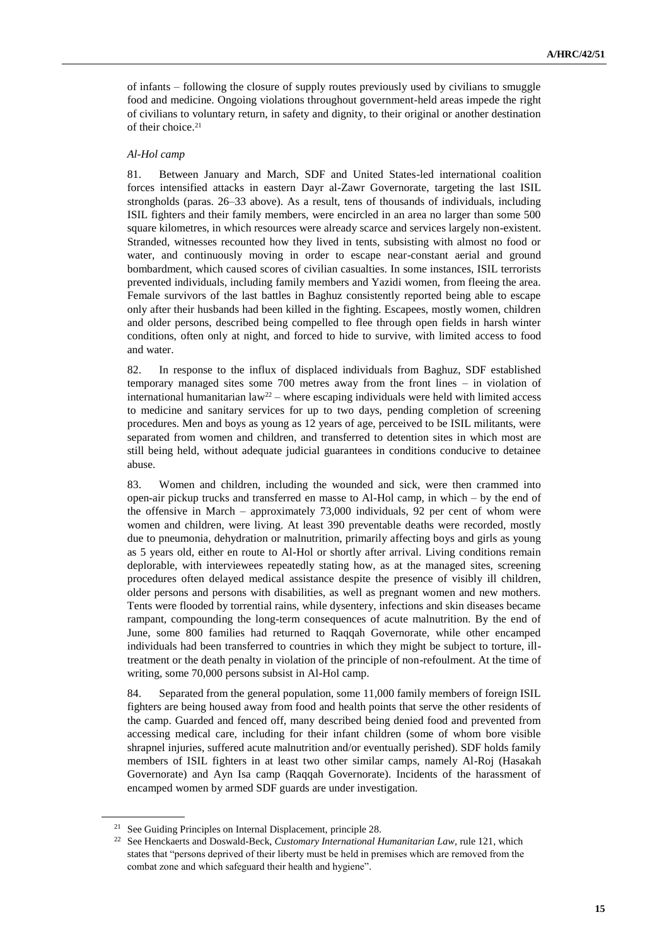of infants – following the closure of supply routes previously used by civilians to smuggle food and medicine. Ongoing violations throughout government-held areas impede the right of civilians to voluntary return, in safety and dignity, to their original or another destination of their choice.<sup>21</sup>

#### *Al-Hol camp*

81. Between January and March, SDF and United States-led international coalition forces intensified attacks in eastern Dayr al-Zawr Governorate, targeting the last ISIL strongholds (paras. 26–33 above). As a result, tens of thousands of individuals, including ISIL fighters and their family members, were encircled in an area no larger than some 500 square kilometres, in which resources were already scarce and services largely non-existent. Stranded, witnesses recounted how they lived in tents, subsisting with almost no food or water, and continuously moving in order to escape near-constant aerial and ground bombardment, which caused scores of civilian casualties. In some instances, ISIL terrorists prevented individuals, including family members and Yazidi women, from fleeing the area. Female survivors of the last battles in Baghuz consistently reported being able to escape only after their husbands had been killed in the fighting. Escapees, mostly women, children and older persons, described being compelled to flee through open fields in harsh winter conditions, often only at night, and forced to hide to survive, with limited access to food and water.

82. In response to the influx of displaced individuals from Baghuz, SDF established temporary managed sites some 700 metres away from the front lines – in violation of international humanitarian law<sup>22</sup> – where escaping individuals were held with limited access to medicine and sanitary services for up to two days, pending completion of screening procedures. Men and boys as young as 12 years of age, perceived to be ISIL militants, were separated from women and children, and transferred to detention sites in which most are still being held, without adequate judicial guarantees in conditions conducive to detainee abuse.

83. Women and children, including the wounded and sick, were then crammed into open-air pickup trucks and transferred en masse to Al-Hol camp, in which – by the end of the offensive in March – approximately 73,000 individuals, 92 per cent of whom were women and children, were living. At least 390 preventable deaths were recorded, mostly due to pneumonia, dehydration or malnutrition, primarily affecting boys and girls as young as 5 years old, either en route to Al-Hol or shortly after arrival. Living conditions remain deplorable, with interviewees repeatedly stating how, as at the managed sites, screening procedures often delayed medical assistance despite the presence of visibly ill children, older persons and persons with disabilities, as well as pregnant women and new mothers. Tents were flooded by torrential rains, while dysentery, infections and skin diseases became rampant, compounding the long-term consequences of acute malnutrition. By the end of June, some 800 families had returned to Raqqah Governorate, while other encamped individuals had been transferred to countries in which they might be subject to torture, illtreatment or the death penalty in violation of the principle of non-refoulment. At the time of writing, some 70,000 persons subsist in Al-Hol camp.

84. Separated from the general population, some 11,000 family members of foreign ISIL fighters are being housed away from food and health points that serve the other residents of the camp. Guarded and fenced off, many described being denied food and prevented from accessing medical care, including for their infant children (some of whom bore visible shrapnel injuries, suffered acute malnutrition and/or eventually perished). SDF holds family members of ISIL fighters in at least two other similar camps, namely Al-Roj (Hasakah Governorate) and Ayn Isa camp (Raqqah Governorate). Incidents of the harassment of encamped women by armed SDF guards are under investigation.

<sup>21</sup> See Guiding Principles on Internal Displacement, principle 28.

<sup>22</sup> See Henckaerts and Doswald-Beck, *Customary International Humanitarian Law*, rule 121, which states that "persons deprived of their liberty must be held in premises which are removed from the combat zone and which safeguard their health and hygiene".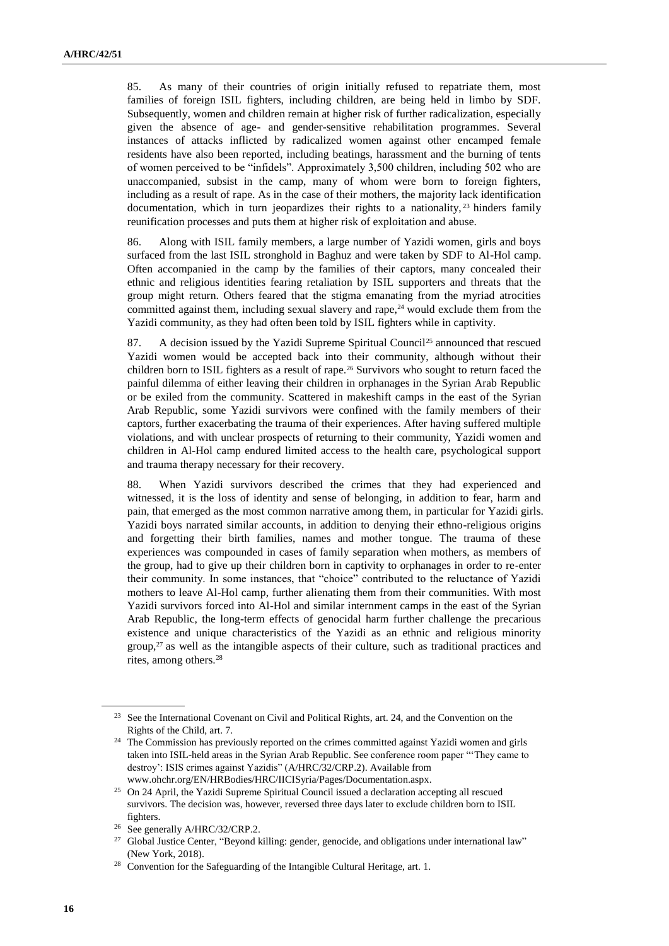85. As many of their countries of origin initially refused to repatriate them, most families of foreign ISIL fighters, including children, are being held in limbo by SDF. Subsequently, women and children remain at higher risk of further radicalization, especially given the absence of age- and gender-sensitive rehabilitation programmes. Several instances of attacks inflicted by radicalized women against other encamped female residents have also been reported, including beatings, harassment and the burning of tents of women perceived to be "infidels". Approximately 3,500 children, including 502 who are unaccompanied, subsist in the camp, many of whom were born to foreign fighters, including as a result of rape. As in the case of their mothers, the majority lack identification documentation, which in turn jeopardizes their rights to a nationality,  $^{23}$  hinders family reunification processes and puts them at higher risk of exploitation and abuse.

86. Along with ISIL family members, a large number of Yazidi women, girls and boys surfaced from the last ISIL stronghold in Baghuz and were taken by SDF to Al-Hol camp. Often accompanied in the camp by the families of their captors, many concealed their ethnic and religious identities fearing retaliation by ISIL supporters and threats that the group might return. Others feared that the stigma emanating from the myriad atrocities committed against them, including sexual slavery and rape, $24$  would exclude them from the Yazidi community, as they had often been told by ISIL fighters while in captivity.

87. A decision issued by the Yazidi Supreme Spiritual Council<sup>25</sup> announced that rescued Yazidi women would be accepted back into their community, although without their children born to ISIL fighters as a result of rape.<sup>26</sup> Survivors who sought to return faced the painful dilemma of either leaving their children in orphanages in the Syrian Arab Republic or be exiled from the community. Scattered in makeshift camps in the east of the Syrian Arab Republic, some Yazidi survivors were confined with the family members of their captors, further exacerbating the trauma of their experiences. After having suffered multiple violations, and with unclear prospects of returning to their community, Yazidi women and children in Al-Hol camp endured limited access to the health care, psychological support and trauma therapy necessary for their recovery.

88. When Yazidi survivors described the crimes that they had experienced and witnessed, it is the loss of identity and sense of belonging, in addition to fear, harm and pain, that emerged as the most common narrative among them, in particular for Yazidi girls. Yazidi boys narrated similar accounts, in addition to denying their ethno-religious origins and forgetting their birth families, names and mother tongue. The trauma of these experiences was compounded in cases of family separation when mothers, as members of the group, had to give up their children born in captivity to orphanages in order to re-enter their community. In some instances, that "choice" contributed to the reluctance of Yazidi mothers to leave Al-Hol camp, further alienating them from their communities. With most Yazidi survivors forced into Al-Hol and similar internment camps in the east of the Syrian Arab Republic, the long-term effects of genocidal harm further challenge the precarious existence and unique characteristics of the Yazidi as an ethnic and religious minority group, $27$  as well as the intangible aspects of their culture, such as traditional practices and rites, among others.<sup>28</sup>

<sup>&</sup>lt;sup>23</sup> See the International Covenant on Civil and Political Rights, art. 24, and the Convention on the Rights of the Child, art. 7.

<sup>&</sup>lt;sup>24</sup> The Commission has previously reported on the crimes committed against Yazidi women and girls taken into ISIL-held areas in the Syrian Arab Republic. See conference room paper "'They came to destroy': ISIS crimes against Yazidis" (A/HRC/32/CRP.2). Available from [www.ohchr.org/EN/HRBodies/HRC/IICISyria/Pages/Documentation.aspx.](http://www.ohchr.org/EN/HRBodies/HRC/IICISyria/Pages/Documentation.aspx)

<sup>&</sup>lt;sup>25</sup> On 24 April, the Yazidi Supreme Spiritual Council issued a declaration accepting all rescued survivors. The decision was, however, reversed three days later to exclude children born to ISIL fighters.

<sup>&</sup>lt;sup>26</sup> See generally A/HRC/32/CRP.2.

<sup>&</sup>lt;sup>27</sup> Global Justice Center, "Beyond killing: gender, genocide, and obligations under international law" (New York, 2018).

<sup>&</sup>lt;sup>28</sup> Convention for the Safeguarding of the Intangible Cultural Heritage, art. 1.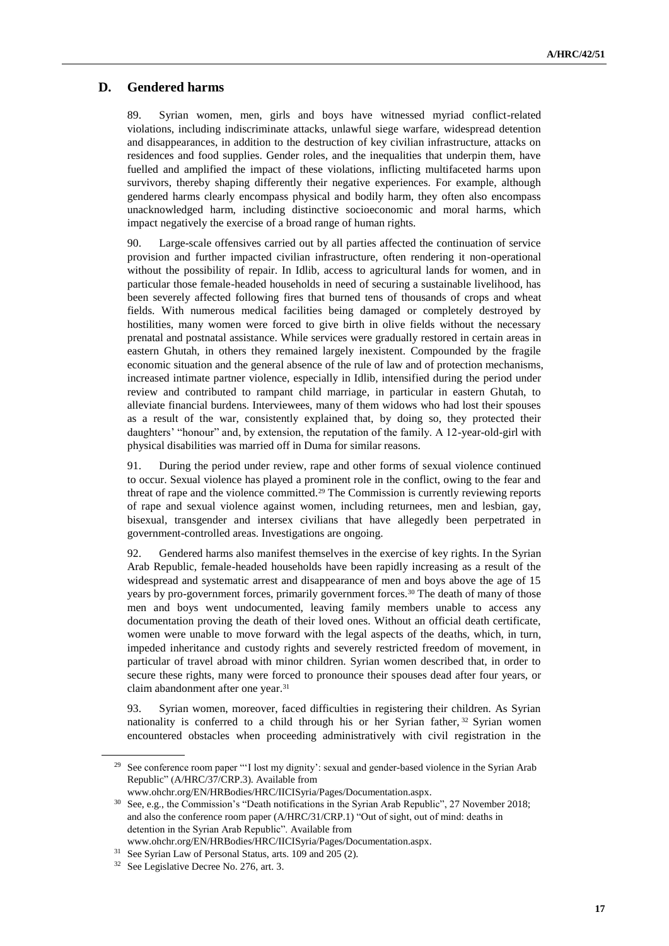## **D. Gendered harms**

89. Syrian women, men, girls and boys have witnessed myriad conflict-related violations, including indiscriminate attacks, unlawful siege warfare, widespread detention and disappearances, in addition to the destruction of key civilian infrastructure, attacks on residences and food supplies. Gender roles, and the inequalities that underpin them, have fuelled and amplified the impact of these violations, inflicting multifaceted harms upon survivors, thereby shaping differently their negative experiences. For example, although gendered harms clearly encompass physical and bodily harm, they often also encompass unacknowledged harm, including distinctive socioeconomic and moral harms, which impact negatively the exercise of a broad range of human rights.

90. Large-scale offensives carried out by all parties affected the continuation of service provision and further impacted civilian infrastructure, often rendering it non-operational without the possibility of repair. In Idlib, access to agricultural lands for women, and in particular those female-headed households in need of securing a sustainable livelihood, has been severely affected following fires that burned tens of thousands of crops and wheat fields. With numerous medical facilities being damaged or completely destroyed by hostilities, many women were forced to give birth in olive fields without the necessary prenatal and postnatal assistance. While services were gradually restored in certain areas in eastern Ghutah, in others they remained largely inexistent. Compounded by the fragile economic situation and the general absence of the rule of law and of protection mechanisms, increased intimate partner violence, especially in Idlib, intensified during the period under review and contributed to rampant child marriage, in particular in eastern Ghutah, to alleviate financial burdens. Interviewees, many of them widows who had lost their spouses as a result of the war, consistently explained that, by doing so, they protected their daughters' "honour" and, by extension, the reputation of the family. A 12-year-old-girl with physical disabilities was married off in Duma for similar reasons.

91. During the period under review, rape and other forms of sexual violence continued to occur. Sexual violence has played a prominent role in the conflict, owing to the fear and threat of rape and the violence committed.<sup>29</sup> The Commission is currently reviewing reports of rape and sexual violence against women, including returnees, men and lesbian, gay, bisexual, transgender and intersex civilians that have allegedly been perpetrated in government-controlled areas. Investigations are ongoing.

92. Gendered harms also manifest themselves in the exercise of key rights. In the Syrian Arab Republic, female-headed households have been rapidly increasing as a result of the widespread and systematic arrest and disappearance of men and boys above the age of 15 years by pro-government forces, primarily government forces.<sup>30</sup> The death of many of those men and boys went undocumented, leaving family members unable to access any documentation proving the death of their loved ones. Without an official death certificate, women were unable to move forward with the legal aspects of the deaths, which, in turn, impeded inheritance and custody rights and severely restricted freedom of movement, in particular of travel abroad with minor children. Syrian women described that, in order to secure these rights, many were forced to pronounce their spouses dead after four years, or claim abandonment after one year.<sup>31</sup>

93. Syrian women, moreover, faced difficulties in registering their children. As Syrian nationality is conferred to a child through his or her Syrian father,  $32$  Syrian women encountered obstacles when proceeding administratively with civil registration in the

<sup>&</sup>lt;sup>29</sup> See conference room paper "'I lost my dignity': sexual and gender-based violence in the Syrian Arab Republic" (A/HRC/37/CRP.3). Available from

[www.ohchr.org/EN/HRBodies/HRC/IICISyria/Pages/Documentation.aspx.](http://www.ohchr.org/EN/HRBodies/HRC/IICISyria/Pages/Documentation.aspx)

<sup>&</sup>lt;sup>30</sup> See, e.g., the Commission's "Death notifications in the Syrian Arab Republic", 27 November 2018; and also the conference room paper (A/HRC/31/CRP.1) "Out of sight, out of mind: deaths in detention in the Syrian Arab Republic". Available from [www.ohchr.org/EN/HRBodies/HRC/IICISyria/Pages/Documentation.aspx.](http://www.ohchr.org/EN/HRBodies/HRC/IICISyria/Pages/Documentation.aspx)

<sup>31</sup> See Syrian Law of Personal Status, arts. 109 and 205 (2).

<sup>32</sup> See Legislative Decree No. 276, art. 3.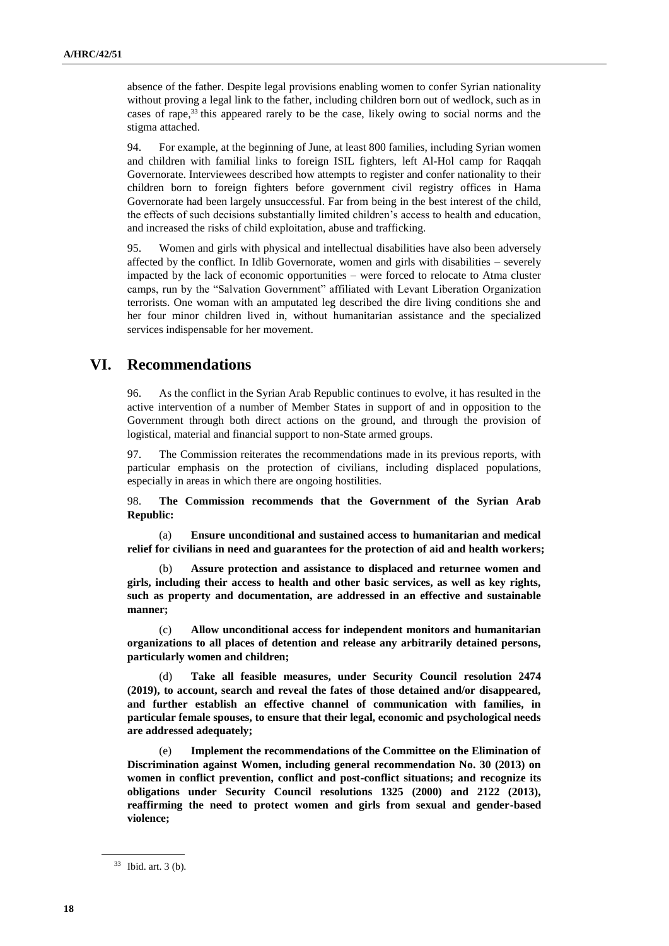absence of the father. Despite legal provisions enabling women to confer Syrian nationality without proving a legal link to the father, including children born out of wedlock, such as in cases of rape,<sup>33</sup> this appeared rarely to be the case, likely owing to social norms and the stigma attached.

94. For example, at the beginning of June, at least 800 families, including Syrian women and children with familial links to foreign ISIL fighters, left Al-Hol camp for Raqqah Governorate. Interviewees described how attempts to register and confer nationality to their children born to foreign fighters before government civil registry offices in Hama Governorate had been largely unsuccessful. Far from being in the best interest of the child, the effects of such decisions substantially limited children's access to health and education, and increased the risks of child exploitation, abuse and trafficking.

95. Women and girls with physical and intellectual disabilities have also been adversely affected by the conflict. In Idlib Governorate, women and girls with disabilities – severely impacted by the lack of economic opportunities – were forced to relocate to Atma cluster camps, run by the "Salvation Government" affiliated with Levant Liberation Organization terrorists. One woman with an amputated leg described the dire living conditions she and her four minor children lived in, without humanitarian assistance and the specialized services indispensable for her movement.

# **VI. Recommendations**

96. As the conflict in the Syrian Arab Republic continues to evolve, it has resulted in the active intervention of a number of Member States in support of and in opposition to the Government through both direct actions on the ground, and through the provision of logistical, material and financial support to non-State armed groups.

97. The Commission reiterates the recommendations made in its previous reports, with particular emphasis on the protection of civilians, including displaced populations, especially in areas in which there are ongoing hostilities.

98. **The Commission recommends that the Government of the Syrian Arab Republic:**

(a) **Ensure unconditional and sustained access to humanitarian and medical relief for civilians in need and guarantees for the protection of aid and health workers;**

(b) **Assure protection and assistance to displaced and returnee women and girls, including their access to health and other basic services, as well as key rights, such as property and documentation, are addressed in an effective and sustainable manner;**

(c) **Allow unconditional access for independent monitors and humanitarian organizations to all places of detention and release any arbitrarily detained persons, particularly women and children;**

Take all feasible measures, under Security Council resolution 2474 **(2019), to account, search and reveal the fates of those detained and/or disappeared, and further establish an effective channel of communication with families, in particular female spouses, to ensure that their legal, economic and psychological needs are addressed adequately;**

(e) **Implement the recommendations of the Committee on the Elimination of Discrimination against Women, including general recommendation No. 30 (2013) on women in conflict prevention, conflict and post-conflict situations; and recognize its obligations under Security Council resolutions 1325 (2000) and 2122 (2013), reaffirming the need to protect women and girls from sexual and gender-based violence;** 

<sup>33</sup> Ibid. art. 3 (b).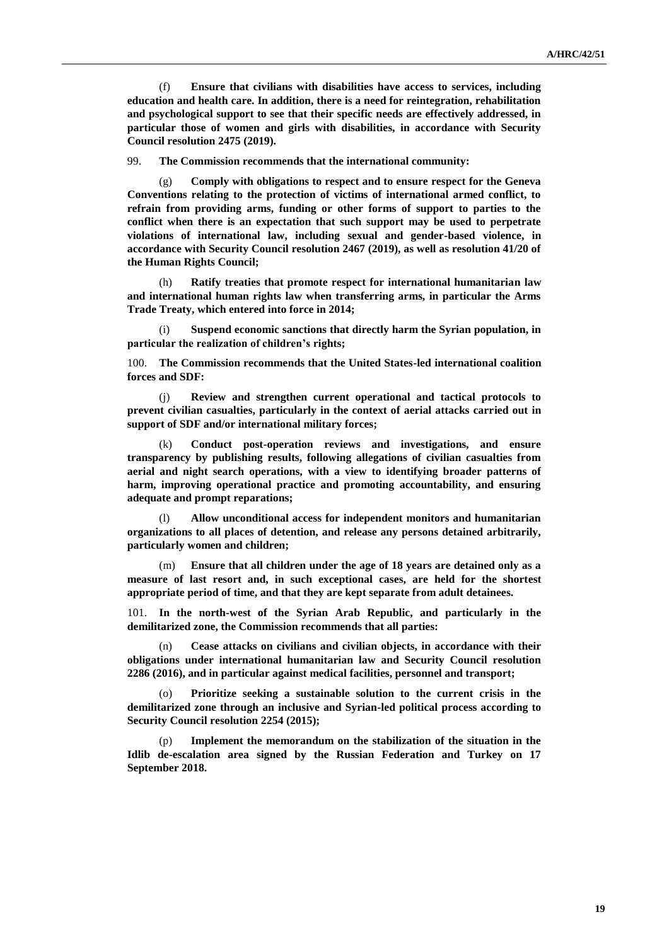(f) **Ensure that civilians with disabilities have access to services, including education and health care. In addition, there is a need for reintegration, rehabilitation and psychological support to see that their specific needs are effectively addressed, in particular those of women and girls with disabilities, in accordance with Security Council resolution 2475 (2019).**

99. **The Commission recommends that the international community:**

(g) **Comply with obligations to respect and to ensure respect for the Geneva Conventions relating to the protection of victims of international armed conflict, to refrain from providing arms, funding or other forms of support to parties to the conflict when there is an expectation that such support may be used to perpetrate violations of international law, including sexual and gender-based violence, in accordance with Security Council resolution 2467 (2019), as well as resolution 41/20 of the Human Rights Council;**

(h) **Ratify treaties that promote respect for international humanitarian law and international human rights law when transferring arms, in particular the Arms Trade Treaty, which entered into force in 2014;**

(i) **Suspend economic sanctions that directly harm the Syrian population, in particular the realization of children's rights;**

100. **The Commission recommends that the United States-led international coalition forces and SDF:**

(j) **Review and strengthen current operational and tactical protocols to prevent civilian casualties, particularly in the context of aerial attacks carried out in support of SDF and/or international military forces;**

(k) **Conduct post-operation reviews and investigations, and ensure transparency by publishing results, following allegations of civilian casualties from aerial and night search operations, with a view to identifying broader patterns of harm, improving operational practice and promoting accountability, and ensuring adequate and prompt reparations;**

(l) **Allow unconditional access for independent monitors and humanitarian organizations to all places of detention, and release any persons detained arbitrarily, particularly women and children;** 

(m) **Ensure that all children under the age of 18 years are detained only as a measure of last resort and, in such exceptional cases, are held for the shortest appropriate period of time, and that they are kept separate from adult detainees.**

101. **In the north-west of the Syrian Arab Republic, and particularly in the demilitarized zone, the Commission recommends that all parties:**

(n) **Cease attacks on civilians and civilian objects, in accordance with their obligations under international humanitarian law and Security Council resolution 2286 (2016), and in particular against medical facilities, personnel and transport;**

(o) **Prioritize seeking a sustainable solution to the current crisis in the demilitarized zone through an inclusive and Syrian-led political process according to Security Council resolution 2254 (2015);** 

(p) **Implement the memorandum on the stabilization of the situation in the Idlib de-escalation area signed by the Russian Federation and Turkey on 17 September 2018.**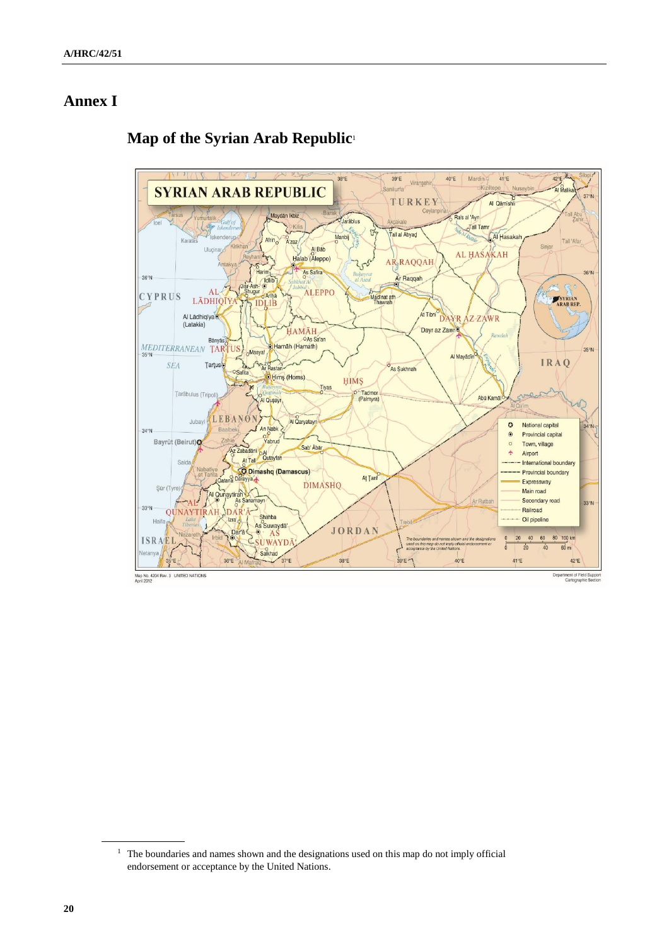# **Annex I**

#### 42°E. Aug  $38^{\circ}E$  $39^{\circ}E$ Mardin  $41^{\circ}E$  $40^{\circ}E$ Viranșel nliurfa  $K_{12}$ Al Malika **SYRIAN ARAB REPUBLIC**  $37°N$ TURKEY Al Qāmīshli Maydān Ikbiz l Abu Ra's al 'Ayn Jarāblus  $\sigma$ Tall Tamı  $\mathbf{G}$ Tall al Abyad Al Hasaka Manbij Afrin $\overline{\circ}$ Karatas A'zaz Tall 'Afar Sinjar Uluçi Al Bab AL HASAKAH Halab (Aleppo) **ARRAQQAH** As Safira  $36°N$ Harim Harim  $36°$ Ar Raqqah Madinat ath<br>Thawrah  $AL$ Shugur **ALEPPO** gur<br>IDLIB **CYPRUS** LĀDHIQĪY SYRIAN<br>ARAB REP. Al Lādhiqīyao At Tibni<sup>c</sup> **DAYR AZ-ZAWR** Dayr az Zawro **HAMĀH** OAs Sa'an MEDITERRANEAN TAR Hamāh (Hamath)  $35°N$ -Masyaf Al Mayādīn **IRAQ SEA Tartus** Ar Rastan As Sukhnah Safita O Hims (Homs) **HIMS** Tiyas Tarābulus (Tripol Tadmor<br>(Palmyra)  $\epsilon$ Abū Kamā Al Quşayr Jubayi LEBANO Al Qaryatayr  $\ddot{\circ}$ National capital  $34°N$ An Nabk  $34°N$  $\odot$ Provincial capital Yabrud Bayrüt (Beirut) nie<br>Az Zabadānī  $\circ$ Town, village Sab' Ābār Zabadānī<br>At Tall Qutayfah  $\star$ Airport Said International boundary Comashq (Damascus) Provincial boundary Aţ Ţanf Expressway **DIMASHQ** Şür (T Al Qunaytirah Main road tirah Ar Rutbal Secondary road  $33°N$ DAR'A- $-33^{\circ}$ Railroad QUNAYTIRAH Shahba Izra'<sub>o</sub> Oil pipeline Haifa As Suwayda' Dara & Suwayda JORDAN 20 40 60 80 100 km **ISRAEL**  $\overline{20}$  $40$  $60 \text{ mi}$ Salkhad  $36^{\circ}E$  Al: Ma 38°E  $39.5 - 1$  $40^{\circ}E$  $41^{\circ}E$  $42^{\circ}E$  $\frac{35}{4}$ Map No. 4204 Rev. 3 UNITED NATIONS<br>April 2012 Department of Field Support<br>Cartographic Section

# **Map of the Syrian Arab Republic**<sup>1</sup>

<sup>&</sup>lt;sup>1</sup> The boundaries and names shown and the designations used on this map do not imply official endorsement or acceptance by the United Nations.